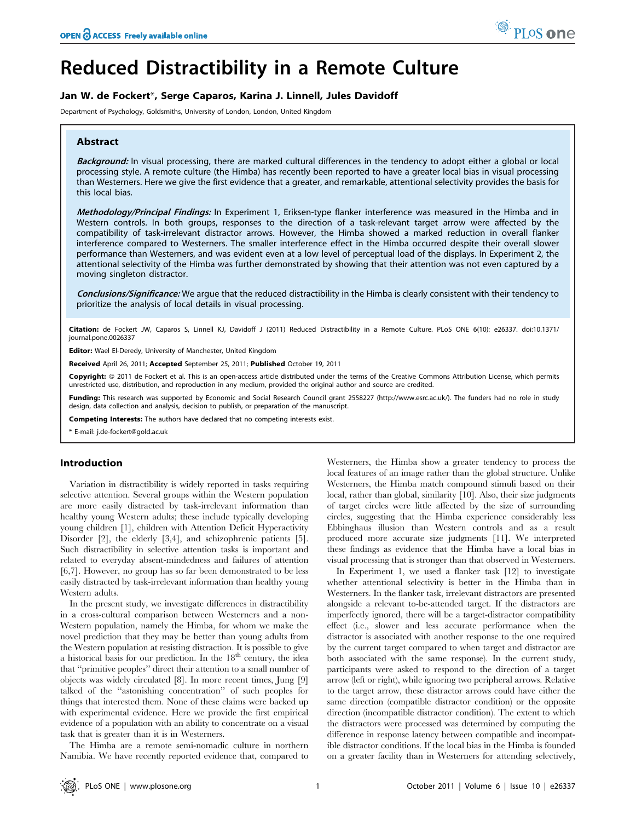# Reduced Distractibility in a Remote Culture

# Jan W. de Fockert\*, Serge Caparos, Karina J. Linnell, Jules Davidoff

Department of Psychology, Goldsmiths, University of London, London, United Kingdom

# Abstract

Background: In visual processing, there are marked cultural differences in the tendency to adopt either a global or local processing style. A remote culture (the Himba) has recently been reported to have a greater local bias in visual processing than Westerners. Here we give the first evidence that a greater, and remarkable, attentional selectivity provides the basis for this local bias.

Methodology/Principal Findings: In Experiment 1, Eriksen-type flanker interference was measured in the Himba and in Western controls. In both groups, responses to the direction of a task-relevant target arrow were affected by the compatibility of task-irrelevant distractor arrows. However, the Himba showed a marked reduction in overall flanker interference compared to Westerners. The smaller interference effect in the Himba occurred despite their overall slower performance than Westerners, and was evident even at a low level of perceptual load of the displays. In Experiment 2, the attentional selectivity of the Himba was further demonstrated by showing that their attention was not even captured by a moving singleton distractor.

Conclusions/Significance: We argue that the reduced distractibility in the Himba is clearly consistent with their tendency to prioritize the analysis of local details in visual processing.

Citation: de Fockert JW, Caparos S, Linnell KJ, Davidoff J (2011) Reduced Distractibility in a Remote Culture. PLoS ONE 6(10): e26337. doi:10.1371/ journal.pone.0026337

Editor: Wael El-Deredy, University of Manchester, United Kingdom

Received April 26, 2011; Accepted September 25, 2011; Published October 19, 2011

Copyright: © 2011 de Fockert et al. This is an open-access article distributed under the terms of the Creative Commons Attribution License, which permits unrestricted use, distribution, and reproduction in any medium, provided the original author and source are credited.

Funding: This research was supported by Economic and Social Research Council grant 2558227 (http://www.esrc.ac.uk/). The funders had no role in study design, data collection and analysis, decision to publish, or preparation of the manuscript.

Competing Interests: The authors have declared that no competing interests exist.

\* E-mail: j.de-fockert@gold.ac.uk

# Introduction

Variation in distractibility is widely reported in tasks requiring selective attention. Several groups within the Western population are more easily distracted by task-irrelevant information than healthy young Western adults; these include typically developing young children [1], children with Attention Deficit Hyperactivity Disorder [2], the elderly [3,4], and schizophrenic patients [5]. Such distractibility in selective attention tasks is important and related to everyday absent-mindedness and failures of attention [6,7]. However, no group has so far been demonstrated to be less easily distracted by task-irrelevant information than healthy young Western adults.

In the present study, we investigate differences in distractibility in a cross-cultural comparison between Westerners and a non-Western population, namely the Himba, for whom we make the novel prediction that they may be better than young adults from the Western population at resisting distraction. It is possible to give a historical basis for our prediction. In the  $18<sup>th</sup>$  century, the idea that ''primitive peoples'' direct their attention to a small number of objects was widely circulated [8]. In more recent times, Jung [9] talked of the ''astonishing concentration'' of such peoples for things that interested them. None of these claims were backed up with experimental evidence. Here we provide the first empirical evidence of a population with an ability to concentrate on a visual task that is greater than it is in Westerners.

The Himba are a remote semi-nomadic culture in northern Namibia. We have recently reported evidence that, compared to Westerners, the Himba show a greater tendency to process the local features of an image rather than the global structure. Unlike Westerners, the Himba match compound stimuli based on their local, rather than global, similarity [10]. Also, their size judgments of target circles were little affected by the size of surrounding circles, suggesting that the Himba experience considerably less Ebbinghaus illusion than Western controls and as a result produced more accurate size judgments [11]. We interpreted these findings as evidence that the Himba have a local bias in visual processing that is stronger than that observed in Westerners.

In Experiment 1, we used a flanker task [12] to investigate whether attentional selectivity is better in the Himba than in Westerners. In the flanker task, irrelevant distractors are presented alongside a relevant to-be-attended target. If the distractors are imperfectly ignored, there will be a target-distractor compatibility effect (i.e., slower and less accurate performance when the distractor is associated with another response to the one required by the current target compared to when target and distractor are both associated with the same response). In the current study, participants were asked to respond to the direction of a target arrow (left or right), while ignoring two peripheral arrows. Relative to the target arrow, these distractor arrows could have either the same direction (compatible distractor condition) or the opposite direction (incompatible distractor condition). The extent to which the distractors were processed was determined by computing the difference in response latency between compatible and incompatible distractor conditions. If the local bias in the Himba is founded on a greater facility than in Westerners for attending selectively,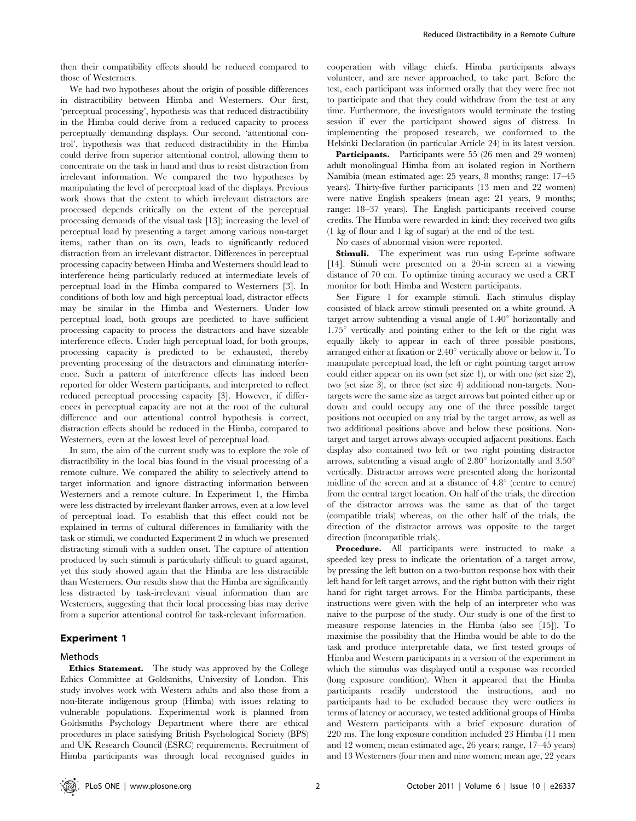then their compatibility effects should be reduced compared to those of Westerners.

We had two hypotheses about the origin of possible differences in distractibility between Himba and Westerners. Our first, 'perceptual processing', hypothesis was that reduced distractibility in the Himba could derive from a reduced capacity to process perceptually demanding displays. Our second, 'attentional control', hypothesis was that reduced distractibility in the Himba could derive from superior attentional control, allowing them to concentrate on the task in hand and thus to resist distraction from irrelevant information. We compared the two hypotheses by manipulating the level of perceptual load of the displays. Previous work shows that the extent to which irrelevant distractors are processed depends critically on the extent of the perceptual processing demands of the visual task [13]; increasing the level of perceptual load by presenting a target among various non-target items, rather than on its own, leads to significantly reduced distraction from an irrelevant distractor. Differences in perceptual processing capacity between Himba and Westerners should lead to interference being particularly reduced at intermediate levels of perceptual load in the Himba compared to Westerners [3]. In conditions of both low and high perceptual load, distractor effects may be similar in the Himba and Westerners. Under low perceptual load, both groups are predicted to have sufficient processing capacity to process the distractors and have sizeable interference effects. Under high perceptual load, for both groups, processing capacity is predicted to be exhausted, thereby preventing processing of the distractors and eliminating interference. Such a pattern of interference effects has indeed been reported for older Western participants, and interpreted to reflect reduced perceptual processing capacity [3]. However, if differences in perceptual capacity are not at the root of the cultural difference and our attentional control hypothesis is correct, distraction effects should be reduced in the Himba, compared to Westerners, even at the lowest level of perceptual load.

In sum, the aim of the current study was to explore the role of distractibility in the local bias found in the visual processing of a remote culture. We compared the ability to selectively attend to target information and ignore distracting information between Westerners and a remote culture. In Experiment 1, the Himba were less distracted by irrelevant flanker arrows, even at a low level of perceptual load. To establish that this effect could not be explained in terms of cultural differences in familiarity with the task or stimuli, we conducted Experiment 2 in which we presented distracting stimuli with a sudden onset. The capture of attention produced by such stimuli is particularly difficult to guard against, yet this study showed again that the Himba are less distractible than Westerners. Our results show that the Himba are significantly less distracted by task-irrelevant visual information than are Westerners, suggesting that their local processing bias may derive from a superior attentional control for task-relevant information.

# Experiment 1

### Methods

Ethics Statement. The study was approved by the College Ethics Committee at Goldsmiths, University of London. This study involves work with Western adults and also those from a non-literate indigenous group (Himba) with issues relating to vulnerable populations. Experimental work is planned from Goldsmiths Psychology Department where there are ethical procedures in place satisfying British Psychological Society (BPS) and UK Research Council (ESRC) requirements. Recruitment of Himba participants was through local recognised guides in cooperation with village chiefs. Himba participants always volunteer, and are never approached, to take part. Before the test, each participant was informed orally that they were free not to participate and that they could withdraw from the test at any time. Furthermore, the investigators would terminate the testing session if ever the participant showed signs of distress. In implementing the proposed research, we conformed to the Helsinki Declaration (in particular Article 24) in its latest version.

Participants. Participants were 55 (26 men and 29 women) adult monolingual Himba from an isolated region in Northern Namibia (mean estimated age: 25 years, 8 months; range: 17–45 years). Thirty-five further participants (13 men and 22 women) were native English speakers (mean age: 21 years, 9 months; range: 18–37 years). The English participants received course credits. The Himba were rewarded in kind; they received two gifts (1 kg of flour and 1 kg of sugar) at the end of the test.

No cases of abnormal vision were reported.

Stimuli. The experiment was run using E-prime software [14]. Stimuli were presented on a 20-in screen at a viewing distance of 70 cm. To optimize timing accuracy we used a CRT monitor for both Himba and Western participants.

See Figure 1 for example stimuli. Each stimulus display consisted of black arrow stimuli presented on a white ground. A target arrow subtending a visual angle of  $1.40^{\circ}$  horizontally and  $1.75^{\circ}$  vertically and pointing either to the left or the right was equally likely to appear in each of three possible positions, arranged either at fixation or  $2.40^{\circ}$  vertically above or below it. To manipulate perceptual load, the left or right pointing target arrow could either appear on its own (set size 1), or with one (set size 2), two (set size 3), or three (set size 4) additional non-targets. Nontargets were the same size as target arrows but pointed either up or down and could occupy any one of the three possible target positions not occupied on any trial by the target arrow, as well as two additional positions above and below these positions. Nontarget and target arrows always occupied adjacent positions. Each display also contained two left or two right pointing distractor arrows, subtending a visual angle of  $2.80^{\circ}$  horizontally and  $3.50^{\circ}$ vertically. Distractor arrows were presented along the horizontal midline of the screen and at a distance of  $4.8^{\circ}$  (centre to centre) from the central target location. On half of the trials, the direction of the distractor arrows was the same as that of the target (compatible trials) whereas, on the other half of the trials, the direction of the distractor arrows was opposite to the target direction (incompatible trials).

**Procedure.** All participants were instructed to make a speeded key press to indicate the orientation of a target arrow, by pressing the left button on a two-button response box with their left hand for left target arrows, and the right button with their right hand for right target arrows. For the Himba participants, these instructions were given with the help of an interpreter who was naive to the purpose of the study. Our study is one of the first to measure response latencies in the Himba (also see [15]). To maximise the possibility that the Himba would be able to do the task and produce interpretable data, we first tested groups of Himba and Western participants in a version of the experiment in which the stimulus was displayed until a response was recorded (long exposure condition). When it appeared that the Himba participants readily understood the instructions, and no participants had to be excluded because they were outliers in terms of latency or accuracy, we tested additional groups of Himba and Western participants with a brief exposure duration of 220 ms. The long exposure condition included 23 Himba (11 men and 12 women; mean estimated age, 26 years; range, 17–45 years) and 13 Westerners (four men and nine women; mean age, 22 years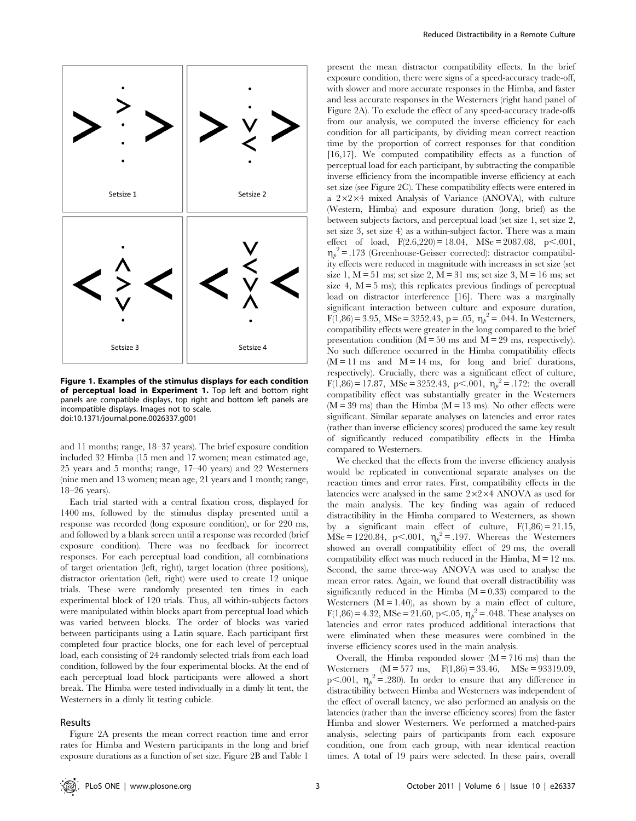

Figure 1. Examples of the stimulus displays for each condition of perceptual load in Experiment 1. Top left and bottom right panels are compatible displays, top right and bottom left panels are incompatible displays. Images not to scale. doi:10.1371/journal.pone.0026337.g001

and 11 months; range, 18–37 years). The brief exposure condition included 32 Himba (15 men and 17 women; mean estimated age, 25 years and 5 months; range, 17–40 years) and 22 Westerners (nine men and 13 women; mean age, 21 years and 1 month; range, 18–26 years).

Each trial started with a central fixation cross, displayed for 1400 ms, followed by the stimulus display presented until a response was recorded (long exposure condition), or for 220 ms, and followed by a blank screen until a response was recorded (brief exposure condition). There was no feedback for incorrect responses. For each perceptual load condition, all combinations of target orientation (left, right), target location (three positions), distractor orientation (left, right) were used to create 12 unique trials. These were randomly presented ten times in each experimental block of 120 trials. Thus, all within-subjects factors were manipulated within blocks apart from perceptual load which was varied between blocks. The order of blocks was varied between participants using a Latin square. Each participant first completed four practice blocks, one for each level of perceptual load, each consisting of 24 randomly selected trials from each load condition, followed by the four experimental blocks. At the end of each perceptual load block participants were allowed a short break. The Himba were tested individually in a dimly lit tent, the Westerners in a dimly lit testing cubicle.

#### Results

Figure 2A presents the mean correct reaction time and error rates for Himba and Western participants in the long and brief exposure durations as a function of set size. Figure 2B and Table 1

present the mean distractor compatibility effects. In the brief exposure condition, there were signs of a speed-accuracy trade-off, with slower and more accurate responses in the Himba, and faster and less accurate responses in the Westerners (right hand panel of Figure 2A). To exclude the effect of any speed-accuracy trade-offs from our analysis, we computed the inverse efficiency for each condition for all participants, by dividing mean correct reaction time by the proportion of correct responses for that condition [16,17]. We computed compatibility effects as a function of perceptual load for each participant, by subtracting the compatible inverse efficiency from the incompatible inverse efficiency at each set size (see Figure 2C). These compatibility effects were entered in a  $2\times2\times4$  mixed Analysis of Variance (ANOVA), with culture (Western, Himba) and exposure duration (long, brief) as the between subjects factors, and perceptual load (set size 1, set size 2, set size 3, set size 4) as a within-subject factor. There was a main effect of load,  $F(2.6,220) = 18.04$ ,  $MSe = 2087.08$ ,  $p < .001$ ,  $\eta_p^2$  = .173 (Greenhouse-Geisser corrected): distractor compatibility effects were reduced in magnitude with increases in set size (set size 1,  $M = 51$  ms; set size 2,  $M = 31$  ms; set size 3,  $M = 16$  ms; set size 4,  $M = 5$  ms); this replicates previous findings of perceptual load on distractor interference [16]. There was a marginally significant interaction between culture and exposure duration,  $F(1,86) = 3.95$ , MSe = 3252.43, p = .05,  $\eta_p^2 = .044$ . In Westerners, compatibility effects were greater in the long compared to the brief presentation condition ( $\overline{M} = 50$  ms and  $\overline{M} = 29$  ms, respectively). No such difference occurred in the Himba compatibility effects  $(M = 11 \text{ ms}$  and  $M = 14 \text{ ms}$ , for long and brief durations, respectively). Crucially, there was a significant effect of culture,  $F(1,86) = 17.87$ , MSe = 3252.43, p<.001,  $\eta_p^2 = 0.172$ : the overall compatibility effect was substantially greater in the Westerners  $(M = 39 \text{ ms})$  than the Himba  $(M = 13 \text{ ms})$ . No other effects were significant. Similar separate analyses on latencies and error rates (rather than inverse efficiency scores) produced the same key result of significantly reduced compatibility effects in the Himba compared to Westerners.

We checked that the effects from the inverse efficiency analysis would be replicated in conventional separate analyses on the reaction times and error rates. First, compatibility effects in the latencies were analysed in the same  $2\times2\times4$  ANOVA as used for the main analysis. The key finding was again of reduced distractibility in the Himba compared to Westerners, as shown by a significant main effect of culture,  $F(1,86) = 21.15$ ,  $\text{MSe} = 1220.84$ , p<.001,  $\eta_p^2 = .197$ . Whereas the Westerners showed an overall compatibility effect of 29 ms, the overall compatibility effect was much reduced in the Himba,  $M = 12$  ms. Second, the same three-way ANOVA was used to analyse the mean error rates. Again, we found that overall distractibility was significantly reduced in the Himba  $(M = 0.33)$  compared to the Westerners  $(M = 1.40)$ , as shown by a main effect of culture,  $F(1,86) = 4.32$ , MSe = 21.60, p<.05,  $\eta_p^2 = .048$ . These analyses on latencies and error rates produced additional interactions that were eliminated when these measures were combined in the inverse efficiency scores used in the main analysis.

Overall, the Himba responded slower  $(M = 716 \text{ ms})$  than the Westerners  $(M = 577 \text{ ms}, \text{ F}(1,86) = 33.46, \text{ MSe} = 93319.09,$ p<.001,  $\eta_p^2 = .280$ ). In order to ensure that any difference in distractibility between Himba and Westerners was independent of the effect of overall latency, we also performed an analysis on the latencies (rather than the inverse efficiency scores) from the faster Himba and slower Westerners. We performed a matched-pairs analysis, selecting pairs of participants from each exposure condition, one from each group, with near identical reaction times. A total of 19 pairs were selected. In these pairs, overall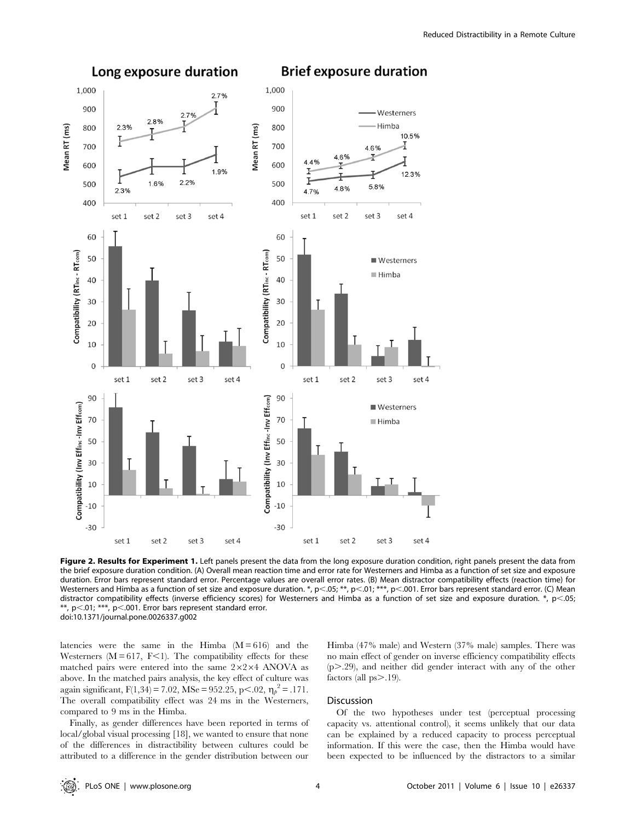

**Brief exposure duration** 

Figure 2. Results for Experiment 1. Left panels present the data from the long exposure duration condition, right panels present the data from the brief exposure duration condition. (A) Overall mean reaction time and error rate for Westerners and Himba as a function of set size and exposure duration. Error bars represent standard error. Percentage values are overall error rates. (B) Mean distractor compatibility effects (reaction time) for Westerners and Himba as a function of set size and exposure duration. \*, p<.05; \*\*, p<.01; \*\*\*, p<.001. Error bars represent standard error. (C) Mean distractor compatibility effects (inverse efficiency scores) for Westerners and Himba as a function of set size and exposure duration. \*,  $p<.05$ ; \*\*, p $<$ .01; \*\*\*, p $<$ .001. Error bars represent standard error. doi:10.1371/journal.pone.0026337.g002

latencies were the same in the Himba  $(M = 616)$  and the Westerners ( $M = 617$ ,  $F<1$ ). The compatibility effects for these matched pairs were entered into the same  $2\times2\times4$  ANOVA as above. In the matched pairs analysis, the key effect of culture was again significant,  $F(1,34) = 7.02$ , MSe = 952.25, p<.02,  $\eta_{\rho}^2 = .171$ . The overall compatibility effect was 24 ms in the Westerners, compared to 9 ms in the Himba.

Finally, as gender differences have been reported in terms of local/global visual processing [18], we wanted to ensure that none of the differences in distractibility between cultures could be attributed to a difference in the gender distribution between our Himba (47% male) and Western (37% male) samples. There was no main effect of gender on inverse efficiency compatibility effects  $(p > .29)$ , and neither did gender interact with any of the other factors (all  $ps > .19$ ).

# Discussion

Of the two hypotheses under test (perceptual processing capacity vs. attentional control), it seems unlikely that our data can be explained by a reduced capacity to process perceptual information. If this were the case, then the Himba would have been expected to be influenced by the distractors to a similar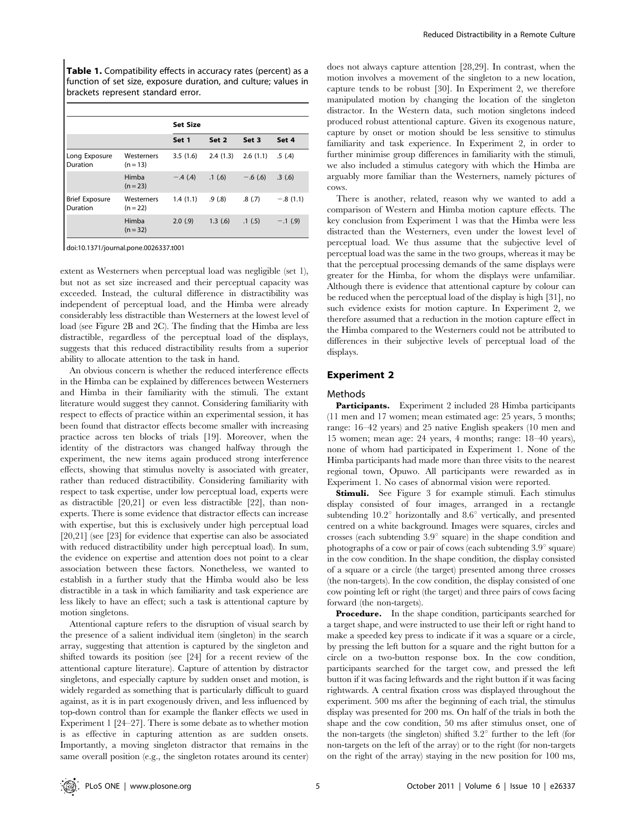Table 1. Compatibility effects in accuracy rates (percent) as a function of set size, exposure duration, and culture; values in brackets represent standard error.

|                                   |                          | <b>Set Size</b> |          |           |            |
|-----------------------------------|--------------------------|-----------------|----------|-----------|------------|
|                                   |                          | Set 1           | Set 2    | Set 3     | Set 4      |
| Long Exposure<br>Duration         | Westerners<br>$(n = 13)$ | 3.5(1.6)        | 2.4(1.3) | 2.6(1.1)  | .5(4)      |
|                                   | Himba<br>$(n = 23)$      | $-.4(4)$        | .1(6)    | $-.6(.6)$ | .3(6)      |
| <b>Brief Exposure</b><br>Duration | Westerners<br>$(n = 22)$ | 1.4(1.1)        | .9(0.8)  | .8(7)     | $-.8(1.1)$ |
|                                   | Himba<br>$(n = 32)$      | 2.0(9)          | 1.3(6)   | .1(5)     | $-.1(9)$   |

doi:10.1371/journal.pone.0026337.t001

extent as Westerners when perceptual load was negligible (set 1), but not as set size increased and their perceptual capacity was exceeded. Instead, the cultural difference in distractibility was independent of perceptual load, and the Himba were already considerably less distractible than Westerners at the lowest level of load (see Figure 2B and 2C). The finding that the Himba are less distractible, regardless of the perceptual load of the displays, suggests that this reduced distractibility results from a superior ability to allocate attention to the task in hand.

An obvious concern is whether the reduced interference effects in the Himba can be explained by differences between Westerners and Himba in their familiarity with the stimuli. The extant literature would suggest they cannot. Considering familiarity with respect to effects of practice within an experimental session, it has been found that distractor effects become smaller with increasing practice across ten blocks of trials [19]. Moreover, when the identity of the distractors was changed halfway through the experiment, the new items again produced strong interference effects, showing that stimulus novelty is associated with greater, rather than reduced distractibility. Considering familiarity with respect to task expertise, under low perceptual load, experts were as distractible [20,21] or even less distractible [22], than nonexperts. There is some evidence that distractor effects can increase with expertise, but this is exclusively under high perceptual load [20,21] (see [23] for evidence that expertise can also be associated with reduced distractibility under high perceptual load). In sum, the evidence on expertise and attention does not point to a clear association between these factors. Nonetheless, we wanted to establish in a further study that the Himba would also be less distractible in a task in which familiarity and task experience are less likely to have an effect; such a task is attentional capture by motion singletons.

Attentional capture refers to the disruption of visual search by the presence of a salient individual item (singleton) in the search array, suggesting that attention is captured by the singleton and shifted towards its position (see [24] for a recent review of the attentional capture literature). Capture of attention by distractor singletons, and especially capture by sudden onset and motion, is widely regarded as something that is particularly difficult to guard against, as it is in part exogenously driven, and less influenced by top-down control than for example the flanker effects we used in Experiment 1 [24–27]. There is some debate as to whether motion is as effective in capturing attention as are sudden onsets. Importantly, a moving singleton distractor that remains in the same overall position (e.g., the singleton rotates around its center)

does not always capture attention [28,29]. In contrast, when the motion involves a movement of the singleton to a new location, capture tends to be robust [30]. In Experiment 2, we therefore manipulated motion by changing the location of the singleton distractor. In the Western data, such motion singletons indeed produced robust attentional capture. Given its exogenous nature, capture by onset or motion should be less sensitive to stimulus familiarity and task experience. In Experiment 2, in order to further minimise group differences in familiarity with the stimuli, we also included a stimulus category with which the Himba are arguably more familiar than the Westerners, namely pictures of cows.

There is another, related, reason why we wanted to add a comparison of Western and Himba motion capture effects. The key conclusion from Experiment 1 was that the Himba were less distracted than the Westerners, even under the lowest level of perceptual load. We thus assume that the subjective level of perceptual load was the same in the two groups, whereas it may be that the perceptual processing demands of the same displays were greater for the Himba, for whom the displays were unfamiliar. Although there is evidence that attentional capture by colour can be reduced when the perceptual load of the display is high [31], no such evidence exists for motion capture. In Experiment 2, we therefore assumed that a reduction in the motion capture effect in the Himba compared to the Westerners could not be attributed to differences in their subjective levels of perceptual load of the displays.

# Experiment 2

#### Methods

Participants. Experiment 2 included 28 Himba participants (11 men and 17 women; mean estimated age: 25 years, 5 months; range: 16–42 years) and 25 native English speakers (10 men and 15 women; mean age: 24 years, 4 months; range: 18–40 years), none of whom had participated in Experiment 1. None of the Himba participants had made more than three visits to the nearest regional town, Opuwo. All participants were rewarded as in Experiment 1. No cases of abnormal vision were reported.

**Stimuli.** See Figure 3 for example stimuli. Each stimulus display consisted of four images, arranged in a rectangle subtending  $10.2^{\circ}$  horizontally and  $8.6^{\circ}$  vertically, and presented centred on a white background. Images were squares, circles and crosses (each subtending  $3.9^{\circ}$  square) in the shape condition and photographs of a cow or pair of cows (each subtending  $3.9^{\circ}$  square) in the cow condition. In the shape condition, the display consisted of a square or a circle (the target) presented among three crosses (the non-targets). In the cow condition, the display consisted of one cow pointing left or right (the target) and three pairs of cows facing forward (the non-targets).

**Procedure.** In the shape condition, participants searched for a target shape, and were instructed to use their left or right hand to make a speeded key press to indicate if it was a square or a circle, by pressing the left button for a square and the right button for a circle on a two-button response box. In the cow condition, participants searched for the target cow, and pressed the left button if it was facing leftwards and the right button if it was facing rightwards. A central fixation cross was displayed throughout the experiment. 500 ms after the beginning of each trial, the stimulus display was presented for 200 ms. On half of the trials in both the shape and the cow condition, 50 ms after stimulus onset, one of the non-targets (the singleton) shifted  $3.2^{\circ}$  further to the left (for non-targets on the left of the array) or to the right (for non-targets on the right of the array) staying in the new position for 100 ms,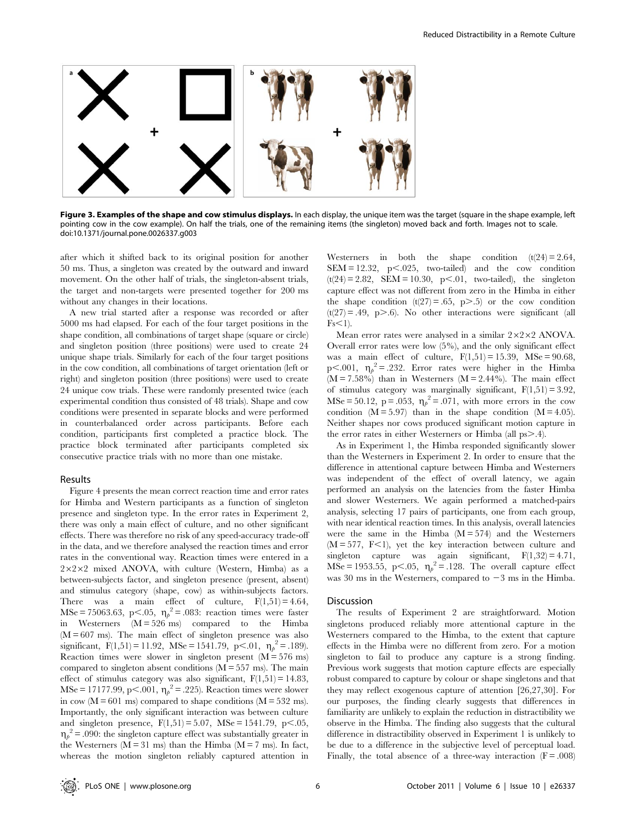

Figure 3. Examples of the shape and cow stimulus displays. In each display, the unique item was the target (square in the shape example, left pointing cow in the cow example). On half the trials, one of the remaining items (the singleton) moved back and forth. Images not to scale. doi:10.1371/journal.pone.0026337.g003

after which it shifted back to its original position for another 50 ms. Thus, a singleton was created by the outward and inward movement. On the other half of trials, the singleton-absent trials, the target and non-targets were presented together for 200 ms without any changes in their locations.

A new trial started after a response was recorded or after 5000 ms had elapsed. For each of the four target positions in the shape condition, all combinations of target shape (square or circle) and singleton position (three positions) were used to create 24 unique shape trials. Similarly for each of the four target positions in the cow condition, all combinations of target orientation (left or right) and singleton position (three positions) were used to create 24 unique cow trials. These were randomly presented twice (each experimental condition thus consisted of 48 trials). Shape and cow conditions were presented in separate blocks and were performed in counterbalanced order across participants. Before each condition, participants first completed a practice block. The practice block terminated after participants completed six consecutive practice trials with no more than one mistake.

#### Results

Figure 4 presents the mean correct reaction time and error rates for Himba and Western participants as a function of singleton presence and singleton type. In the error rates in Experiment 2, there was only a main effect of culture, and no other significant effects. There was therefore no risk of any speed-accuracy trade-off in the data, and we therefore analysed the reaction times and error rates in the conventional way. Reaction times were entered in a  $2\times2\times2$  mixed ANOVA, with culture (Western, Himba) as a between-subjects factor, and singleton presence (present, absent) and stimulus category (shape, cow) as within-subjects factors. There was a main effect of culture,  $F(1,51) = 4.64$ ,  $\text{MSe} = 75063.63$ , p<.05,  $\eta_p^2 = .083$ : reaction times were faster in Westerners (M = 526 ms) compared to the Himba  $(M = 607 \text{ ms})$ . The main effect of singleton presence was also significant,  $F(1,51) = 11.92$ ,  $MSe = 1541.79$ ,  $p < .01$ ,  $\eta_p^2 = .189$ ). Reaction times were slower in singleton present  $(M = 576 \text{ ms})$ compared to singleton absent conditions  $(M = 557 \text{ ms})$ . The main effect of stimulus category was also significant,  $F(1,51) = 14.83$ , MSe = 17177.99, p<.001,  $\eta_p^2$  = .225). Reaction times were slower in cow ( $M = 601$  ms) compared to shape conditions ( $M = 532$  ms). Importantly, the only significant interaction was between culture and singleton presence,  $F(1,51) = 5.07$ ,  $MSe = 1541.79$ ,  $p<.05$ ,  $\eta_p^2$  = .090: the singleton capture effect was substantially greater in the Westerners ( $M = 31$  ms) than the Himba ( $M = 7$  ms). In fact, whereas the motion singleton reliably captured attention in

Westerners in both the shape condition  $(t(24) = 2.64$ , SEM = 12.32,  $p<.025$ , two-tailed) and the cow condition  $(t(24) = 2.82, \text{ SEM} = 10.30, p<.01, \text{ two-tailed}), \text{ the singleton}$ capture effect was not different from zero in the Himba in either the shape condition  $(t(27) = .65, p > .5)$  or the cow condition  $(t(27) = .49, p > .6)$ . No other interactions were significant (all  $Fs<1$ ).

Mean error rates were analysed in a similar  $2\times2\times2$  ANOVA. Overall error rates were low (5%), and the only significant effect was a main effect of culture,  $F(1,51) = 15.39$ ,  $MSe = 90.68$ , p<.001,  $\eta_p^2 = .232$ . Error rates were higher in the Himba  $(M = 7.58\%)$  than in Westerners  $(M = 2.44\%)$ . The main effect of stimulus category was marginally significant,  $F(1,51) = 3.92$ , MSe = 50.12, p = .053,  $\eta_p^2 = .071$ , with more errors in the cow condition  $(M = 5.97)$  than in the shape condition  $(M = 4.05)$ . Neither shapes nor cows produced significant motion capture in the error rates in either Westerners or Himba (all  $ps > .4$ ).

As in Experiment 1, the Himba responded significantly slower than the Westerners in Experiment 2. In order to ensure that the difference in attentional capture between Himba and Westerners was independent of the effect of overall latency, we again performed an analysis on the latencies from the faster Himba and slower Westerners. We again performed a matched-pairs analysis, selecting 17 pairs of participants, one from each group, with near identical reaction times. In this analysis, overall latencies were the same in the Himba  $(M = 574)$  and the Westerners  $(M = 577, F<1)$ , yet the key interaction between culture and singleton capture was again significant,  $F(1,32) = 4.71$ ,  $\text{MSe} = 1953.55$ , p<.05,  $\eta_p^2 = .128$ . The overall capture effect was 30 ms in the Westerners, compared to  $-3$  ms in the Himba.

#### **Discussion**

The results of Experiment 2 are straightforward. Motion singletons produced reliably more attentional capture in the Westerners compared to the Himba, to the extent that capture effects in the Himba were no different from zero. For a motion singleton to fail to produce any capture is a strong finding. Previous work suggests that motion capture effects are especially robust compared to capture by colour or shape singletons and that they may reflect exogenous capture of attention [26,27,30]. For our purposes, the finding clearly suggests that differences in familiarity are unlikely to explain the reduction in distractibility we observe in the Himba. The finding also suggests that the cultural difference in distractibility observed in Experiment 1 is unlikely to be due to a difference in the subjective level of perceptual load. Finally, the total absence of a three-way interaction  $(F = .008)$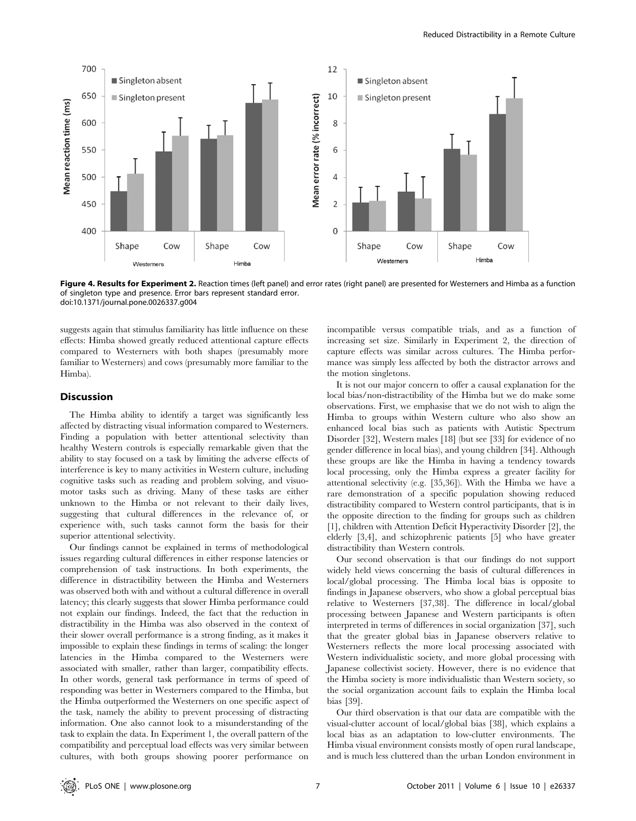

Figure 4. Results for Experiment 2. Reaction times (left panel) and error rates (right panel) are presented for Westerners and Himba as a function of singleton type and presence. Error bars represent standard error. doi:10.1371/journal.pone.0026337.g004

suggests again that stimulus familiarity has little influence on these effects: Himba showed greatly reduced attentional capture effects compared to Westerners with both shapes (presumably more familiar to Westerners) and cows (presumably more familiar to the Himba).

#### **Discussion**

The Himba ability to identify a target was significantly less affected by distracting visual information compared to Westerners. Finding a population with better attentional selectivity than healthy Western controls is especially remarkable given that the ability to stay focused on a task by limiting the adverse effects of interference is key to many activities in Western culture, including cognitive tasks such as reading and problem solving, and visuomotor tasks such as driving. Many of these tasks are either unknown to the Himba or not relevant to their daily lives, suggesting that cultural differences in the relevance of, or experience with, such tasks cannot form the basis for their superior attentional selectivity.

Our findings cannot be explained in terms of methodological issues regarding cultural differences in either response latencies or comprehension of task instructions. In both experiments, the difference in distractibility between the Himba and Westerners was observed both with and without a cultural difference in overall latency; this clearly suggests that slower Himba performance could not explain our findings. Indeed, the fact that the reduction in distractibility in the Himba was also observed in the context of their slower overall performance is a strong finding, as it makes it impossible to explain these findings in terms of scaling: the longer latencies in the Himba compared to the Westerners were associated with smaller, rather than larger, compatibility effects. In other words, general task performance in terms of speed of responding was better in Westerners compared to the Himba, but the Himba outperformed the Westerners on one specific aspect of the task, namely the ability to prevent processing of distracting information. One also cannot look to a misunderstanding of the task to explain the data. In Experiment 1, the overall pattern of the compatibility and perceptual load effects was very similar between cultures, with both groups showing poorer performance on incompatible versus compatible trials, and as a function of increasing set size. Similarly in Experiment 2, the direction of capture effects was similar across cultures. The Himba performance was simply less affected by both the distractor arrows and the motion singletons.

It is not our major concern to offer a causal explanation for the local bias/non-distractibility of the Himba but we do make some observations. First, we emphasise that we do not wish to align the Himba to groups within Western culture who also show an enhanced local bias such as patients with Autistic Spectrum Disorder [32], Western males [18] (but see [33] for evidence of no gender difference in local bias), and young children [34]. Although these groups are like the Himba in having a tendency towards local processing, only the Himba express a greater facility for attentional selectivity (e.g. [35,36]). With the Himba we have a rare demonstration of a specific population showing reduced distractibility compared to Western control participants, that is in the opposite direction to the finding for groups such as children [1], children with Attention Deficit Hyperactivity Disorder [2], the elderly [3,4], and schizophrenic patients [5] who have greater distractibility than Western controls.

Our second observation is that our findings do not support widely held views concerning the basis of cultural differences in local/global processing. The Himba local bias is opposite to findings in Japanese observers, who show a global perceptual bias relative to Westerners [37,38]. The difference in local/global processing between Japanese and Western participants is often interpreted in terms of differences in social organization [37], such that the greater global bias in Japanese observers relative to Westerners reflects the more local processing associated with Western individualistic society, and more global processing with Japanese collectivist society. However, there is no evidence that the Himba society is more individualistic than Western society, so the social organization account fails to explain the Himba local bias [39].

Our third observation is that our data are compatible with the visual-clutter account of local/global bias [38], which explains a local bias as an adaptation to low-clutter environments. The Himba visual environment consists mostly of open rural landscape, and is much less cluttered than the urban London environment in